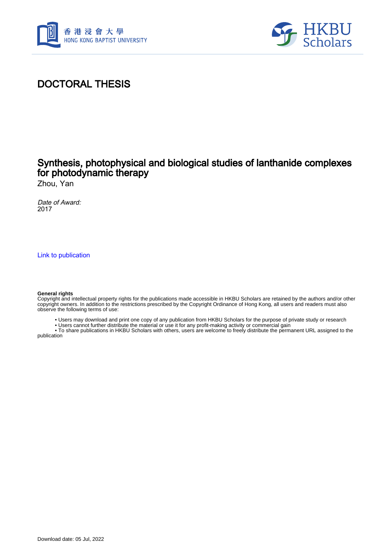



# DOCTORAL THESIS

### Synthesis, photophysical and biological studies of lanthanide complexes for photodynamic therapy

Zhou, Yan

Date of Award: 2017

[Link to publication](https://scholars.hkbu.edu.hk/en/studentTheses/cd8bda02-41af-4419-8f3f-3d9b654faa0c)

#### **General rights**

Copyright and intellectual property rights for the publications made accessible in HKBU Scholars are retained by the authors and/or other copyright owners. In addition to the restrictions prescribed by the Copyright Ordinance of Hong Kong, all users and readers must also observe the following terms of use:

• Users may download and print one copy of any publication from HKBU Scholars for the purpose of private study or research

• Users cannot further distribute the material or use it for any profit-making activity or commercial gain

 • To share publications in HKBU Scholars with others, users are welcome to freely distribute the permanent URL assigned to the publication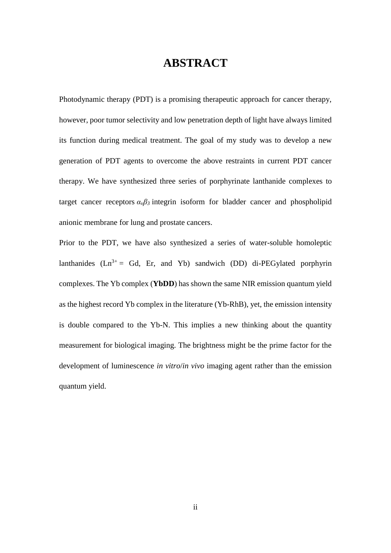# **ABSTRACT**

<span id="page-1-0"></span>Photodynamic therapy (PDT) is a promising therapeutic approach for cancer therapy, however, poor tumor selectivity and low penetration depth of light have always limited its function during medical treatment. The goal of my study was to develop a new generation of PDT agents to overcome the above restraints in current PDT cancer therapy. We have synthesized three series of porphyrinate lanthanide complexes to target cancer receptors  $\alpha_v \beta_3$  integrin isoform for bladder cancer and phospholipid anionic membrane for lung and prostate cancers.

Prior to the PDT, we have also synthesized a series of water-soluble homoleptic lanthanides  $(Ln^{3+} = Gd, Er, and Yb)$  sandwich (DD) di-PEGylated porphyrin complexes. The Yb complex (**YbDD**) has shown the same NIR emission quantum yield as the highest record Yb complex in the literature (Yb-RhB), yet, the emission intensity is double compared to the Yb-N. This implies a new thinking about the quantity measurement for biological imaging. The brightness might be the prime factor for the development of luminescence *in vitro*/*in vivo* imaging agent rather than the emission quantum yield.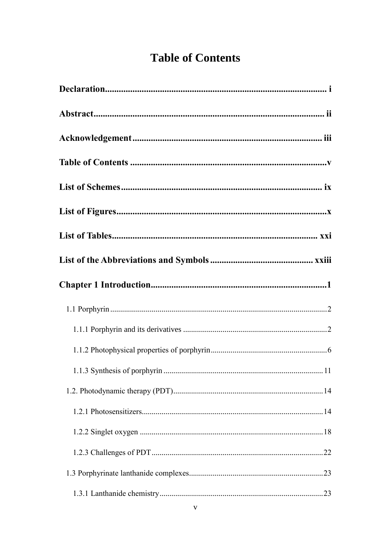# **Table of Contents**

<span id="page-2-0"></span>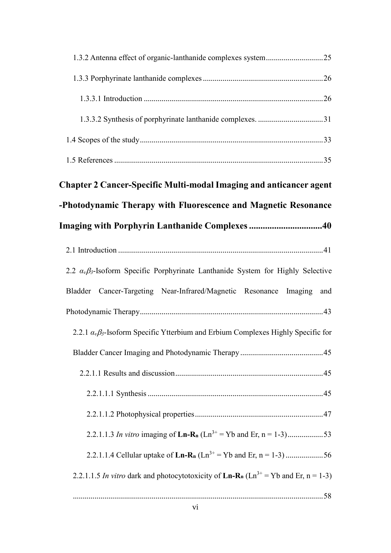| Chapter 2 Cancer-Specific Multi-modal Imaging and anticancer agent                                                   |  |  |
|----------------------------------------------------------------------------------------------------------------------|--|--|
| -Photodynamic Therapy with Fluorescence and Magnetic Resonance                                                       |  |  |
| <b>Imaging with Porphyrin Lanthanide Complexes 40</b>                                                                |  |  |
|                                                                                                                      |  |  |
| 2.2 $\alpha_{\nu}\beta_3$ -Isoform Specific Porphyrinate Lanthanide System for Highly Selective                      |  |  |
| Bladder Cancer-Targeting Near-Infrared/Magnetic Resonance Imaging and                                                |  |  |
|                                                                                                                      |  |  |
| 2.2.1 $\alpha_{\nu}\beta_3$ -Isoform Specific Ytterbium and Erbium Complexes Highly Specific for                     |  |  |
|                                                                                                                      |  |  |
|                                                                                                                      |  |  |
|                                                                                                                      |  |  |
|                                                                                                                      |  |  |
|                                                                                                                      |  |  |
| 2.2.1.1.3 In vitro imaging of $\text{Ln-R}_n(\text{Ln}^{3+} = \text{Yb} \text{ and Er}, n = 1-3)$ 53                 |  |  |
| 2.2.1.1.4 Cellular uptake of $\text{Ln-R}_n$ ( $\text{Ln}^{3+}$ = Yb and Er, n = 1-3) 56                             |  |  |
| 2.2.1.1.5 In vitro dark and photocytotoxicity of $\text{Ln-R}_n(\text{Ln}^{3+} = \text{Yb} \text{ and Er}, n = 1-3)$ |  |  |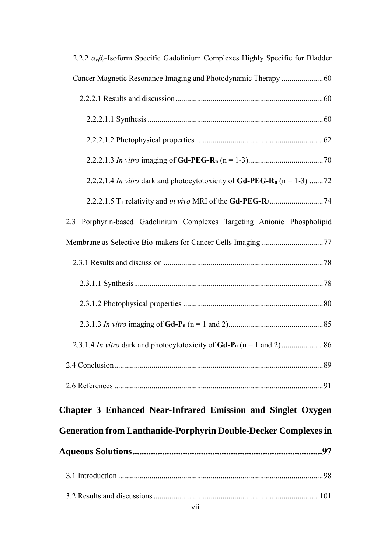| 2.2.2 $\alpha_{\nu}\beta_3$ -Isoform Specific Gadolinium Complexes Highly Specific for Bladder |
|------------------------------------------------------------------------------------------------|
|                                                                                                |
|                                                                                                |
|                                                                                                |
|                                                                                                |
|                                                                                                |
| 2.2.2.1.4 In vitro dark and photocytotoxicity of Gd-PEG-R <sub>n</sub> ( $n = 1-3$ ) 72        |
|                                                                                                |
| 2.3 Porphyrin-based Gadolinium Complexes Targeting Anionic Phospholipid                        |
|                                                                                                |
|                                                                                                |
|                                                                                                |
|                                                                                                |
|                                                                                                |
|                                                                                                |
|                                                                                                |
|                                                                                                |
| <b>Chapter 3 Enhanced Near-Infrared Emission and Singlet Oxygen</b>                            |
| <b>Generation from Lanthanide-Porphyrin Double-Decker Complexes in</b>                         |
|                                                                                                |
|                                                                                                |
|                                                                                                |